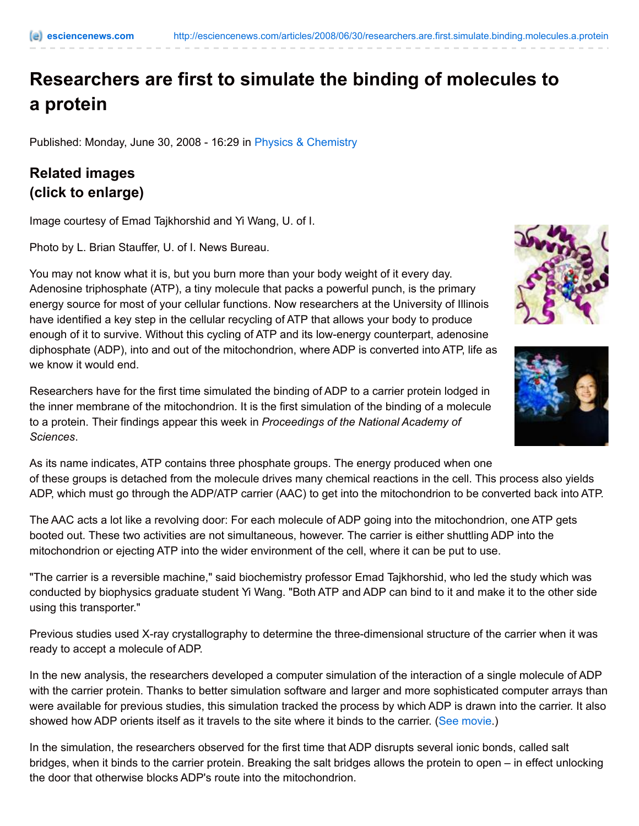## **Researchers are first to simulate the binding of molecules to a protein**

Published: Monday, June 30, 2008 - 16:29 in Physics & [Chemistry](http://esciencenews.com/topics/physics.chemistry)

## **Related images (click to enlarge)**

Image courtesy of Emad Tajkhorshid and Yi Wang, U. of I.

Photo by L. Brian Stauffer, U. of I. News Bureau.

You may not know what it is, but you burn more than your body weight of it every day. Adenosine triphosphate (ATP), a tiny molecule that packs a powerful punch, is the primary energy source for most of your cellular functions. Now researchers at the University of Illinois have identified a key step in the cellular recycling of ATP that allows your body to produce enough of it to survive. Without this cycling of ATP and its low-energy counterpart, adenosine diphosphate (ADP), into and out of the mitochondrion, where ADP is converted into ATP, life as we know it would end.

Researchers have for the first time simulated the binding of ADP to a carrier protein lodged in the inner membrane of the mitochondrion. It is the first simulation of the binding of a molecule to a protein. Their findings appear this week in *Proceedings of the National Academy of Sciences*.

As its name indicates, ATP contains three phosphate groups. The energy produced when one of these groups is detached from the molecule drives many chemical reactions in the cell. This process also yields ADP, which must go through the ADP/ATP carrier (AAC) to get into the mitochondrion to be converted back into ATP.

The AAC acts a lot like a revolving door: For each molecule of ADP going into the mitochondrion, one ATP gets booted out. These two activities are not simultaneous, however. The carrier is either shuttling ADP into the mitochondrion or ejecting ATP into the wider environment of the cell, where it can be put to use.

"The carrier is a reversible machine," said biochemistry professor Emad Tajkhorshid, who led the study which was conducted by biophysics graduate student Yi Wang. "Both ATP and ADP can bind to it and make it to the other side using this transporter."

Previous studies used X-ray crystallography to determine the three-dimensional structure of the carrier when it was ready to accept a molecule of ADP.

In the new analysis, the researchers developed a computer simulation of the interaction of a single molecule of ADP with the carrier protein. Thanks to better simulation software and larger and more sophisticated computer arrays than were available for previous studies, this simulation tracked the process by which ADP is drawn into the carrier. It also showed how ADP orients itself as it travels to the site where it binds to the carrier. (See [movie](http://www.life.uiuc.edu/emad/AAC/adp-binding.html).)

In the simulation, the researchers observed for the first time that ADP disrupts several ionic bonds, called salt bridges, when it binds to the carrier protein. Breaking the salt bridges allows the protein to open – in effect unlocking the door that otherwise blocks ADP's route into the mitochondrion.